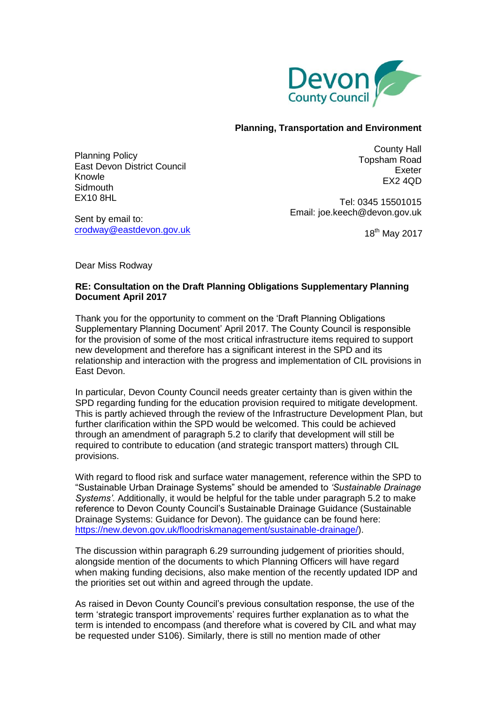

## **Planning, Transportation and Environment**

Planning Policy East Devon District Council Knowle **Sidmouth** EX10 8HL

County Hall Topsham Road Exeter EX2 4QD

Tel: 0345 15501015 Email: joe.keech@devon.gov.uk

Sent by email to: [crodway@eastdevon.gov.uk](mailto:planningpolicy@eastdevon.gov.uk)

18<sup>th</sup> May 2017

Dear Miss Rodway

## **RE: Consultation on the Draft Planning Obligations Supplementary Planning Document April 2017**

Thank you for the opportunity to comment on the 'Draft Planning Obligations Supplementary Planning Document' April 2017. The County Council is responsible for the provision of some of the most critical infrastructure items required to support new development and therefore has a significant interest in the SPD and its relationship and interaction with the progress and implementation of CIL provisions in East Devon.

In particular, Devon County Council needs greater certainty than is given within the SPD regarding funding for the education provision required to mitigate development. This is partly achieved through the review of the Infrastructure Development Plan, but further clarification within the SPD would be welcomed. This could be achieved through an amendment of paragraph 5.2 to clarify that development will still be required to contribute to education (and strategic transport matters) through CIL provisions.

With regard to flood risk and surface water management, reference within the SPD to "Sustainable Urban Drainage Systems" should be amended to *'Sustainable Drainage Systems'*. Additionally, it would be helpful for the table under paragraph 5.2 to make reference to Devon County Council's Sustainable Drainage Guidance (Sustainable Drainage Systems: Guidance for Devon). The guidance can be found here: [https://new.devon.gov.uk/floodriskmanagement/sustainable-drainage/\)](https://new.devon.gov.uk/floodriskmanagement/sustainable-drainage/).

The discussion within paragraph 6.29 surrounding judgement of priorities should, alongside mention of the documents to which Planning Officers will have regard when making funding decisions, also make mention of the recently updated IDP and the priorities set out within and agreed through the update.

As raised in Devon County Council's previous consultation response, the use of the term 'strategic transport improvements' requires further explanation as to what the term is intended to encompass (and therefore what is covered by CIL and what may be requested under S106). Similarly, there is still no mention made of other